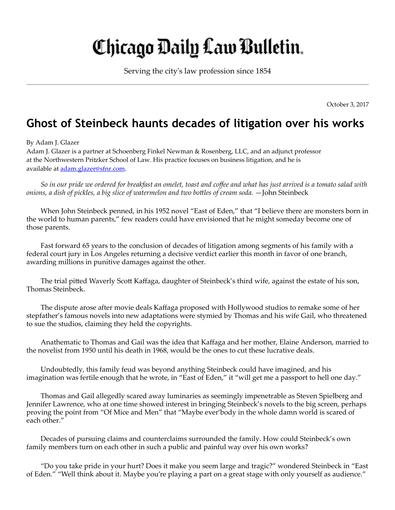## Chicago Daily Law Bulletin.

Serving the city's law profession since 1854

October 3, 2017

## Ghost of Steinbeck haunts decades of litigation over his works

## By Adam J. Glazer

Adam J. Glazer is a partner at Schoenberg Finkel Newman & Rosenberg, LLC, and an adjunct professor at the Northwestern Pritzker School of Law. His practice focuses on business litigation, and he is available at [adam.glazer@sfnr.com.](mailto:adam.glazer@sfnr.com)

So in our pride we ordered for breakfast an omelet, toast and coffee and what has just arrived is a tomato salad with *onions, a dish of pickles, a big slice of watermelon and two boles of cream soda.* —John Steinbeck

When John Steinbeck penned, in his 1952 novel "East of Eden," that "I believe there are monsters born in the world to human parents," few readers could have envisioned that he might someday become one of those parents.

Fast forward 65 years to the conclusion of decades of litigation among segments of his family with a federal court jury in Los Angeles returning a decisive verdict earlier this month in favor of one branch, awarding millions in punitive damages against the other.

The trial pitted Waverly Scott Kaffaga, daughter of Steinbeck's third wife, against the estate of his son, Thomas Steinbeck.

The dispute arose after movie deals Kaffaga proposed with Hollywood studios to remake some of her stepfather's famous novels into new adaptations were stymied by Thomas and his wife Gail, who threatened to sue the studios, claiming they held the copyrights.

Anathematic to Thomas and Gail was the idea that Kaffaga and her mother, Elaine Anderson, married to the novelist from 1950 until his death in 1968, would be the ones to cut these lucrative deals.

Undoubtedly, this family feud was beyond anything Steinbeck could have imagined, and his imagination was fertile enough that he wrote, in "East of Eden," it "will get me a passport to hell one day."

Thomas and Gail allegedly scared away luminaries as seemingly impenetrable as Steven Spielberg and Jennifer Lawrence, who at one time showed interest in bringing Steinbeck's novels to the big screen, perhaps proving the point from "Of Mice and Men" that "Maybe ever'body in the whole damn world is scared of each other."

Decades of pursuing claims and counterclaims surrounded the family. How could Steinbeck's own family members turn on each other in such a public and painful way over his own works?

"Do you take pride in your hurt? Does it make you seem large and tragic?" wondered Steinbeck in "East of Eden." "Well think about it. Maybe you're playing a part on a great stage with only yourself as audience."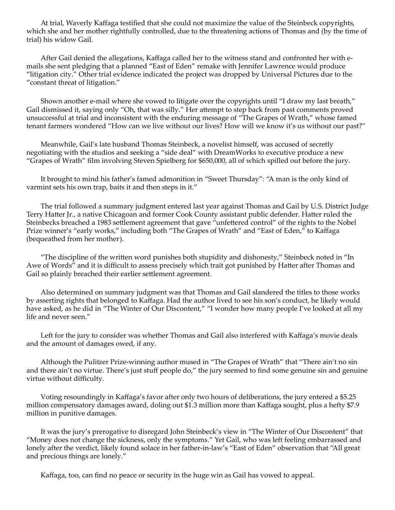At trial, Waverly Kaffaga testified that she could not maximize the value of the Steinbeck copyrights, which she and her mother rightfully controlled, due to the threatening actions of Thomas and (by the time of trial) his widow Gail.

After Gail denied the allegations, Kaffaga called her to the witness stand and confronted her with emails she sent pledging that a planned "East of Eden" remake with Jennifer Lawrence would produce "litigation city." Other trial evidence indicated the project was dropped by Universal Pictures due to the "constant threat of litigation."

Shown another e-mail where she vowed to litigate over the copyrights until "I draw my last breath," Gail dismissed it, saying only "Oh, that was silly." Her attempt to step back from past comments proved unsuccessful at trial and inconsistent with the enduring message of "The Grapes of Wrath," whose famed tenant farmers wondered "How can we live without our lives? How will we know it's us without our past?"

Meanwhile, Gail's late husband Thomas Steinbeck, a novelist himself, was accused of secretly negotiating with the studios and seeking a "side deal" with DreamWorks to executive produce a new "Grapes of Wrath" film involving Steven Spielberg for \$650,000, all of which spilled out before the jury.

It brought to mind his father's famed admonition in "Sweet Thursday": "A man is the only kind of varmint sets his own trap, baits it and then steps in it."

The trial followed a summary judgment entered last year against Thomas and Gail by U.S. District Judge Terry Hatter Jr., a native Chicagoan and former Cook County assistant public defender. Hatter ruled the Steinbecks breached a 1983 settlement agreement that gave "unfettered control" of the rights to the Nobel Prize winner's "early works," including both "The Grapes of Wrath" and "East of Eden," to Kaffaga (bequeathed from her mother).

"The discipline of the written word punishes both stupidity and dishonesty," Steinbeck noted in "In Awe of Words" and it is difficult to assess precisely which trait got punished by Hatter after Thomas and Gail so plainly breached their earlier settlement agreement.

Also determined on summary judgment was that Thomas and Gail slandered the titles to those works by asserting rights that belonged to Kaffaga. Had the author lived to see his son's conduct, he likely would have asked, as he did in "The Winter of Our Discontent," "I wonder how many people I've looked at all my life and never seen."

Left for the jury to consider was whether Thomas and Gail also interfered with Kaffaga's movie deals and the amount of damages owed, if any.

Although the Pulitzer Prize-winning author mused in "The Grapes of Wrath" that "There ain't no sin and there ain't no virtue. There's just stuff people do," the jury seemed to find some genuine sin and genuine virtue without difficulty.

Voting resoundingly in Kaffaga's favor after only two hours of deliberations, the jury entered a \$5.25 million compensatory damages award, doling out \$1.3 million more than Kaffaga sought, plus a hefty \$7.9 million in punitive damages.

It was the jury's prerogative to disregard John Steinbeck's view in "The Winter of Our Discontent" that "Money does not change the sickness, only the symptoms." Yet Gail, who was left feeling embarrassed and lonely after the verdict, likely found solace in her father-in-law's "East of Eden" observation that "All great and precious things are lonely."

Kaffaga, too, can find no peace or security in the huge win as Gail has vowed to appeal.